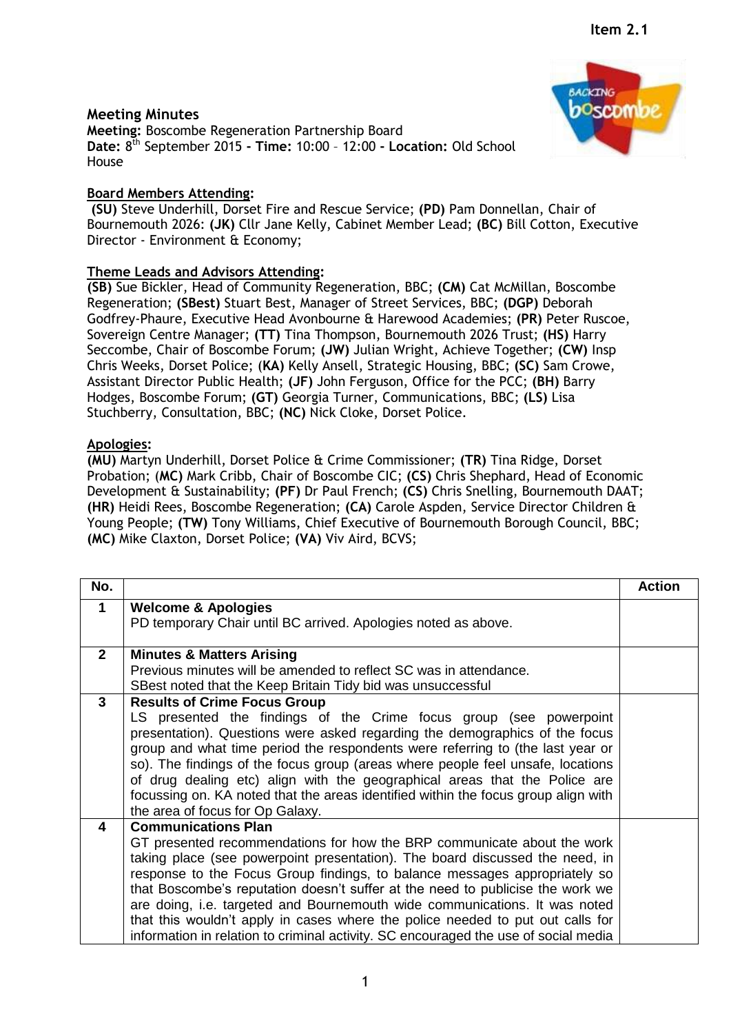## **Meeting Minutes**

**Meeting:** Boscombe Regeneration Partnership Board **Date:** 8 th September 2015 **- Time:** 10:00 – 12:00 **- Location:** Old School House

## **Board Members Attending:**

**(SU)** Steve Underhill, Dorset Fire and Rescue Service; **(PD)** Pam Donnellan, Chair of Bournemouth 2026: **(JK)** Cllr Jane Kelly, Cabinet Member Lead; **(BC)** Bill Cotton, Executive Director - Environment & Economy;

## **Theme Leads and Advisors Attending:**

**(SB)** Sue Bickler, Head of Community Regeneration, BBC; **(CM)** Cat McMillan, Boscombe Regeneration; **(SBest)** Stuart Best, Manager of Street Services, BBC; **(DGP)** Deborah Godfrey-Phaure, Executive Head Avonbourne & Harewood Academies; **(PR)** Peter Ruscoe, Sovereign Centre Manager; **(TT)** Tina Thompson, Bournemouth 2026 Trust; **(HS)** Harry Seccombe, Chair of Boscombe Forum; **(JW)** Julian Wright, Achieve Together; **(CW)** Insp Chris Weeks, Dorset Police; (**KA)** Kelly Ansell, Strategic Housing, BBC; **(SC)** Sam Crowe, Assistant Director Public Health; **(JF)** John Ferguson, Office for the PCC; **(BH)** Barry Hodges, Boscombe Forum; **(GT)** Georgia Turner, Communications, BBC; **(LS)** Lisa Stuchberry, Consultation, BBC; **(NC)** Nick Cloke, Dorset Police.

## **Apologies:**

**(MU)** Martyn Underhill, Dorset Police & Crime Commissioner; **(TR)** Tina Ridge, Dorset Probation; (**MC)** Mark Cribb, Chair of Boscombe CIC; **(CS)** Chris Shephard, Head of Economic Development & Sustainability; **(PF)** Dr Paul French; **(CS)** Chris Snelling, Bournemouth DAAT; **(HR)** Heidi Rees, Boscombe Regeneration; **(CA)** Carole Aspden, Service Director Children & Young People; **(TW)** Tony Williams, Chief Executive of Bournemouth Borough Council, BBC; **(MC)** Mike Claxton, Dorset Police; **(VA)** Viv Aird, BCVS;

| No.          |                                                                                                                                                                                                                                                                                                                                                                                                                                                                                                                                                                                                              | <b>Action</b> |
|--------------|--------------------------------------------------------------------------------------------------------------------------------------------------------------------------------------------------------------------------------------------------------------------------------------------------------------------------------------------------------------------------------------------------------------------------------------------------------------------------------------------------------------------------------------------------------------------------------------------------------------|---------------|
| $\mathbf 1$  | <b>Welcome &amp; Apologies</b><br>PD temporary Chair until BC arrived. Apologies noted as above.                                                                                                                                                                                                                                                                                                                                                                                                                                                                                                             |               |
|              |                                                                                                                                                                                                                                                                                                                                                                                                                                                                                                                                                                                                              |               |
| $\mathbf{2}$ | <b>Minutes &amp; Matters Arising</b>                                                                                                                                                                                                                                                                                                                                                                                                                                                                                                                                                                         |               |
|              | Previous minutes will be amended to reflect SC was in attendance.                                                                                                                                                                                                                                                                                                                                                                                                                                                                                                                                            |               |
|              | SBest noted that the Keep Britain Tidy bid was unsuccessful                                                                                                                                                                                                                                                                                                                                                                                                                                                                                                                                                  |               |
| $\mathbf{3}$ | <b>Results of Crime Focus Group</b><br>LS presented the findings of the Crime focus group (see powerpoint<br>presentation). Questions were asked regarding the demographics of the focus<br>group and what time period the respondents were referring to (the last year or<br>so). The findings of the focus group (areas where people feel unsafe, locations<br>of drug dealing etc) align with the geographical areas that the Police are<br>focussing on. KA noted that the areas identified within the focus group align with<br>the area of focus for Op Galaxy.                                        |               |
| 4            | <b>Communications Plan</b><br>GT presented recommendations for how the BRP communicate about the work<br>taking place (see powerpoint presentation). The board discussed the need, in<br>response to the Focus Group findings, to balance messages appropriately so<br>that Boscombe's reputation doesn't suffer at the need to publicise the work we<br>are doing, i.e. targeted and Bournemouth wide communications. It was noted<br>that this wouldn't apply in cases where the police needed to put out calls for<br>information in relation to criminal activity. SC encouraged the use of social media |               |

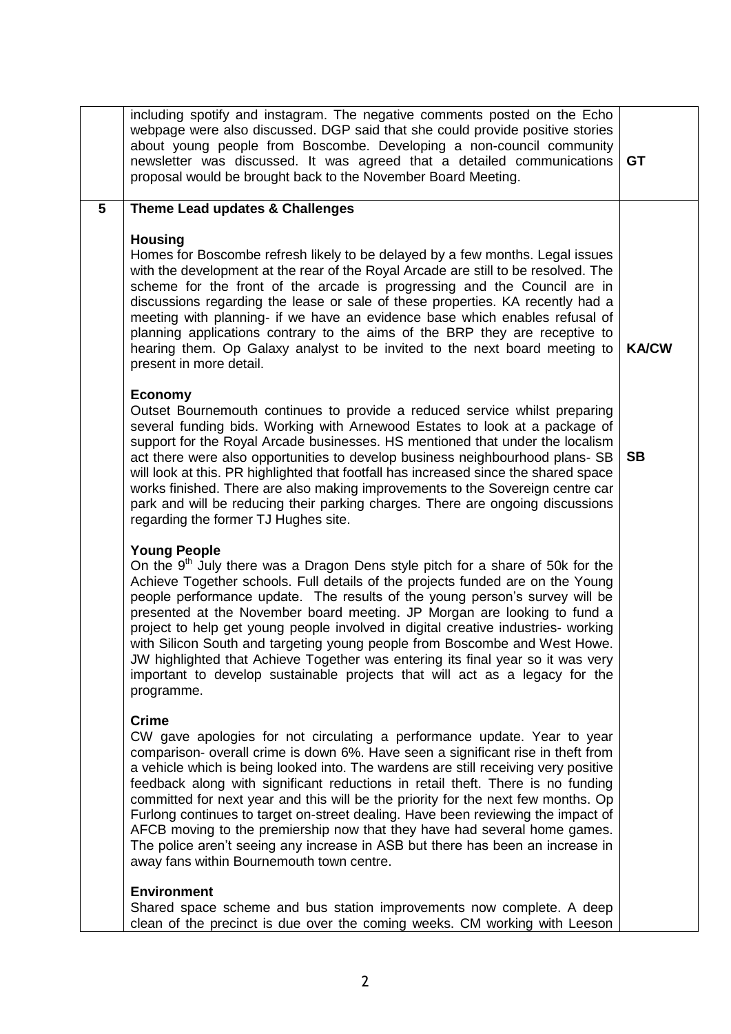|                         | including spotify and instagram. The negative comments posted on the Echo<br>webpage were also discussed. DGP said that she could provide positive stories<br>about young people from Boscombe. Developing a non-council community<br>newsletter was discussed. It was agreed that a detailed communications<br>proposal would be brought back to the November Board Meeting.                                                                                                                                                                                                                                                                                                                                                               | <b>GT</b>    |
|-------------------------|---------------------------------------------------------------------------------------------------------------------------------------------------------------------------------------------------------------------------------------------------------------------------------------------------------------------------------------------------------------------------------------------------------------------------------------------------------------------------------------------------------------------------------------------------------------------------------------------------------------------------------------------------------------------------------------------------------------------------------------------|--------------|
| $\overline{\mathbf{5}}$ | Theme Lead updates & Challenges                                                                                                                                                                                                                                                                                                                                                                                                                                                                                                                                                                                                                                                                                                             |              |
|                         | <b>Housing</b><br>Homes for Boscombe refresh likely to be delayed by a few months. Legal issues<br>with the development at the rear of the Royal Arcade are still to be resolved. The<br>scheme for the front of the arcade is progressing and the Council are in<br>discussions regarding the lease or sale of these properties. KA recently had a<br>meeting with planning- if we have an evidence base which enables refusal of<br>planning applications contrary to the aims of the BRP they are receptive to<br>hearing them. Op Galaxy analyst to be invited to the next board meeting to<br>present in more detail.                                                                                                                  | <b>KA/CW</b> |
|                         | <b>Economy</b><br>Outset Bournemouth continues to provide a reduced service whilst preparing<br>several funding bids. Working with Arnewood Estates to look at a package of<br>support for the Royal Arcade businesses. HS mentioned that under the localism<br>act there were also opportunities to develop business neighbourhood plans- SB<br>will look at this. PR highlighted that footfall has increased since the shared space<br>works finished. There are also making improvements to the Sovereign centre car<br>park and will be reducing their parking charges. There are ongoing discussions<br>regarding the former TJ Hughes site.                                                                                           | <b>SB</b>    |
|                         | <b>Young People</b><br>On the 9 <sup>th</sup> July there was a Dragon Dens style pitch for a share of 50k for the<br>Achieve Together schools. Full details of the projects funded are on the Young<br>people performance update. The results of the young person's survey will be<br>presented at the November board meeting. JP Morgan are looking to fund a<br>project to help get young people involved in digital creative industries- working<br>with Silicon South and targeting young people from Boscombe and West Howe.<br>JW highlighted that Achieve Together was entering its final year so it was very<br>important to develop sustainable projects that will act as a legacy for the<br>programme.                           |              |
|                         | <b>Crime</b><br>CW gave apologies for not circulating a performance update. Year to year<br>comparison- overall crime is down 6%. Have seen a significant rise in theft from<br>a vehicle which is being looked into. The wardens are still receiving very positive<br>feedback along with significant reductions in retail theft. There is no funding<br>committed for next year and this will be the priority for the next few months. Op<br>Furlong continues to target on-street dealing. Have been reviewing the impact of<br>AFCB moving to the premiership now that they have had several home games.<br>The police aren't seeing any increase in ASB but there has been an increase in<br>away fans within Bournemouth town centre. |              |
|                         | <b>Environment</b><br>Shared space scheme and bus station improvements now complete. A deep<br>clean of the precinct is due over the coming weeks. CM working with Leeson                                                                                                                                                                                                                                                                                                                                                                                                                                                                                                                                                                   |              |